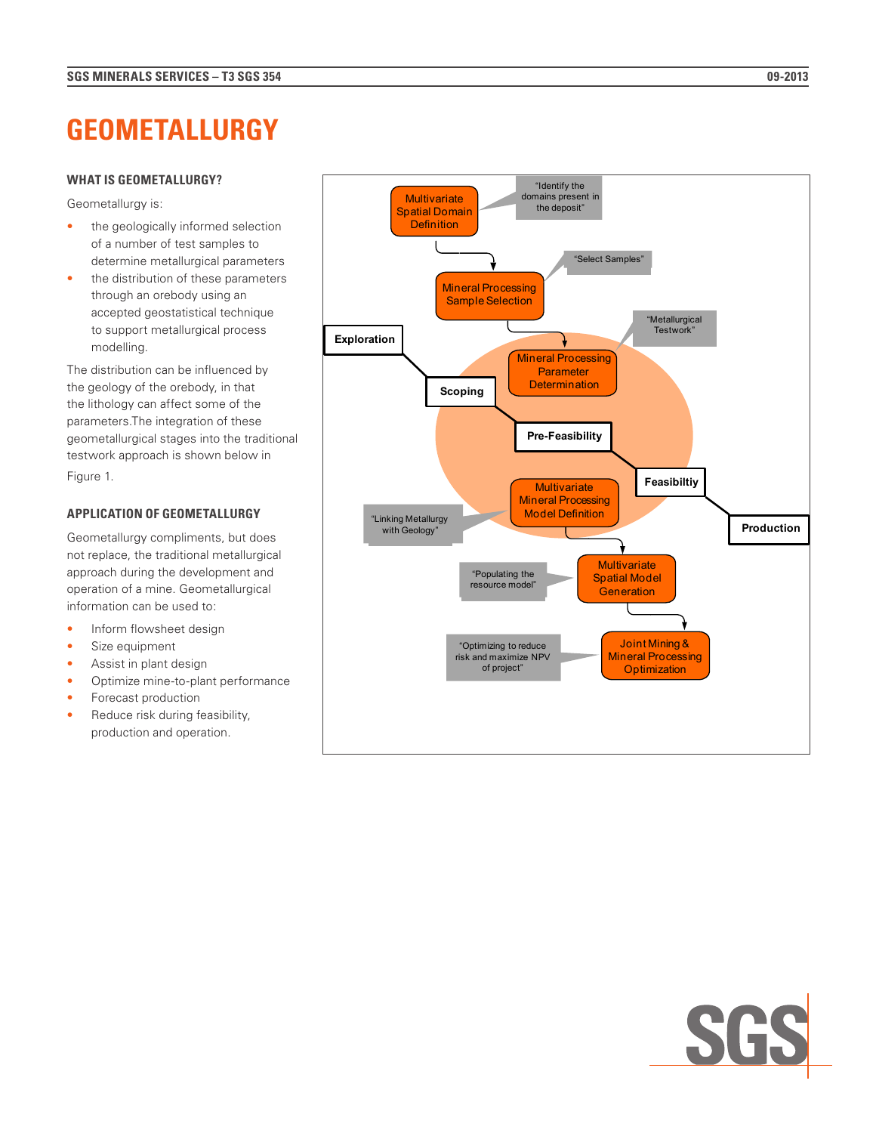# **GEOMETALLURGY**

### **WHAT IS GEOMETALLURGY?**

Geometallurgy is:

- the geologically informed selection of a number of test samples to determine metallurgical parameters
- the distribution of these parameters through an orebody using an accepted geostatistical technique to support metallurgical process modelling.

The distribution can be influenced by the geology of the orebody, in that the lithology can affect some of the parameters.The integration of these geometallurgical stages into the traditional testwork approach is shown below in Figure 1.

## **APPLICATION OF GEOMETALLURGY**

Geometallurgy compliments, but does not replace, the traditional metallurgical approach during the development and operation of a mine. Geometallurgical information can be used to:

- Inform flowsheet design
- Size equipment
- Assist in plant design
- Optimize mine-to-plant performance
- Forecast production
- Reduce risk during feasibility, production and operation.



"Optimizing to reduce risk and maximize NPV of project"

Joint Mining & Mineral Processing **Optimization** 

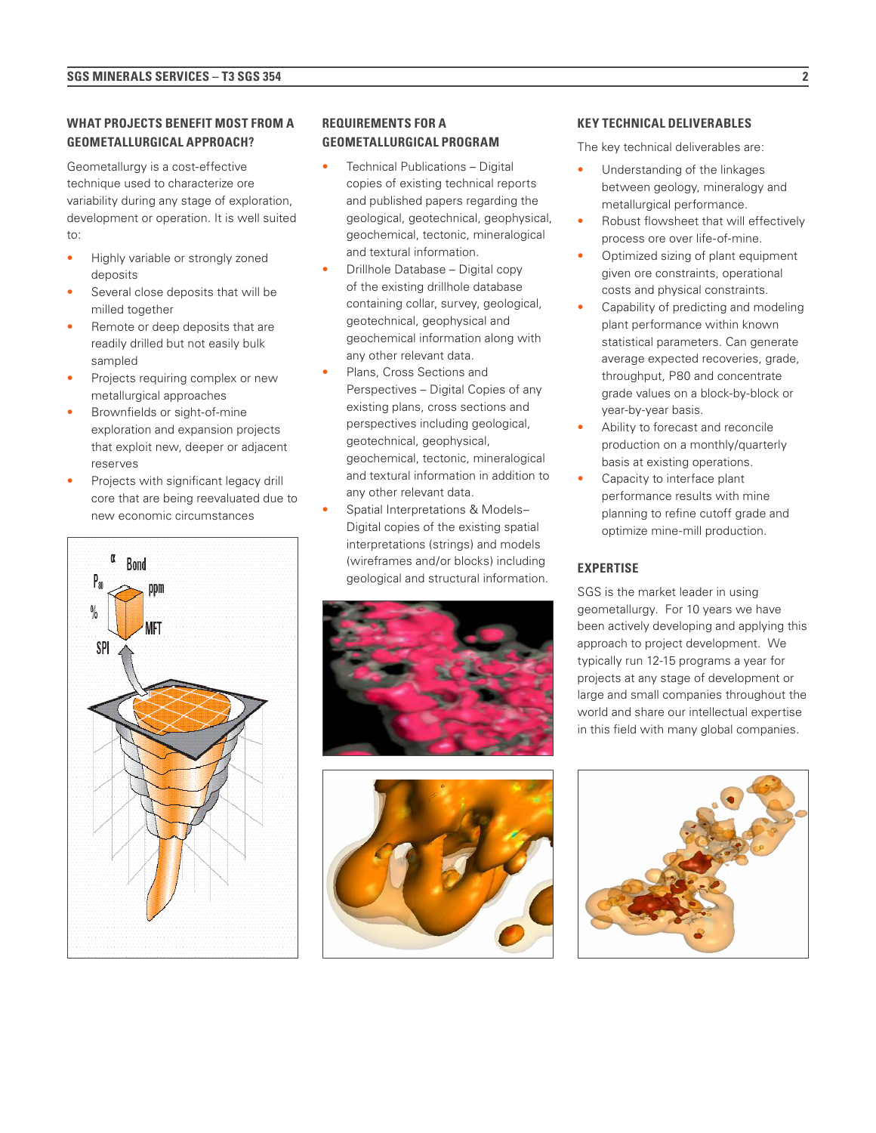## **WHAT PROJECTS BENEFIT MOST FROM A GEOMETALLURGICAL APPROACH?**

Geometallurgy is a cost-effective technique used to characterize ore variability during any stage of exploration, development or operation. It is well suited to:

- Highly variable or strongly zoned deposits
- Several close deposits that will be milled together
- Remote or deep deposits that are readily drilled but not easily bulk sampled
- Projects requiring complex or new metallurgical approaches
- Brownfields or sight-of-mine exploration and expansion projects that exploit new, deeper or adjacent reserves
- Projects with significant legacy drill core that are being reevaluated due to new economic circumstances



## **REQUIREMENTS FOR A GEOMETALLURGICAL PROGRAM**

- Technical Publications Digital copies of existing technical reports and published papers regarding the geological, geotechnical, geophysical, geochemical, tectonic, mineralogical and textural information.
- Drillhole Database Digital copy of the existing drillhole database containing collar, survey, geological, geotechnical, geophysical and geochemical information along with any other relevant data.
- Plans, Cross Sections and Perspectives – Digital Copies of any existing plans, cross sections and perspectives including geological, geotechnical, geophysical, geochemical, tectonic, mineralogical and textural information in addition to any other relevant data.
- Spatial Interpretations & Models– Digital copies of the existing spatial interpretations (strings) and models (wireframes and/or blocks) including geological and structural information.





#### **KEY TECHNICAL DELIVERABLES**

The key technical deliverables are:

- Understanding of the linkages between geology, mineralogy and metallurgical performance.
- Robust flowsheet that will effectively process ore over life-of-mine.
- Optimized sizing of plant equipment given ore constraints, operational costs and physical constraints.
- Capability of predicting and modeling plant performance within known statistical parameters. Can generate average expected recoveries, grade, throughput, P80 and concentrate grade values on a block-by-block or year-by-year basis.
- Ability to forecast and reconcile production on a monthly/quarterly basis at existing operations.
- Capacity to interface plant performance results with mine planning to refine cutoff grade and optimize mine-mill production.

#### **EXPERTISE**

SGS is the market leader in using geometallurgy. For 10 years we have been actively developing and applying this approach to project development. We typically run 12-15 programs a year for projects at any stage of development or large and small companies throughout the world and share our intellectual expertise in this field with many global companies.